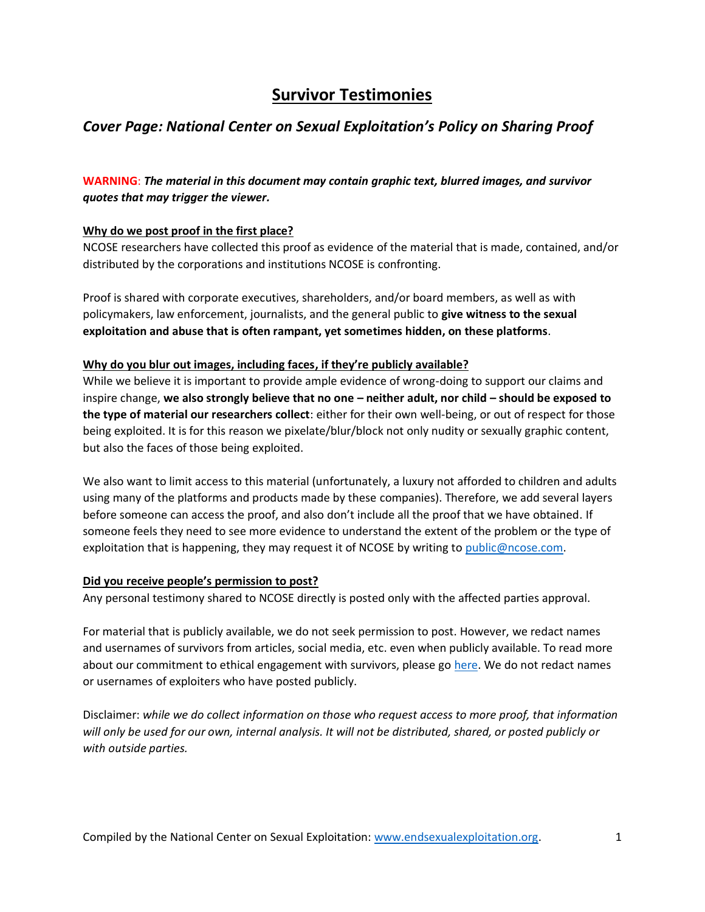# **Survivor Testimonies**

## *Cover Page: National Center on Sexual Exploitation's Policy on Sharing Proof*

## **WARNING**: *The material in this document may contain graphic text, blurred images, and survivor quotes that may trigger the viewer.*

### **Why do we post proof in the first place?**

NCOSE researchers have collected this proof as evidence of the material that is made, contained, and/or distributed by the corporations and institutions NCOSE is confronting.

Proof is shared with corporate executives, shareholders, and/or board members, as well as with policymakers, law enforcement, journalists, and the general public to **give witness to the sexual exploitation and abuse that is often rampant, yet sometimes hidden, on these platforms**.

### **Why do you blur out images, including faces, if they're publicly available?**

While we believe it is important to provide ample evidence of wrong-doing to support our claims and inspire change, **we also strongly believe that no one – neither adult, nor child – should be exposed to the type of material our researchers collect**: either for their own well-being, or out of respect for those being exploited. It is for this reason we pixelate/blur/block not only nudity or sexually graphic content, but also the faces of those being exploited.

We also want to limit access to this material (unfortunately, a luxury not afforded to children and adults using many of the platforms and products made by these companies). Therefore, we add several layers before someone can access the proof, and also don't include all the proof that we have obtained. If someone feels they need to see more evidence to understand the extent of the problem or the type of exploitation that is happening, they may request it of NCOSE by writing to [public@ncose.com.](mailto:public@ncose.com)

### **Did you receive people's permission to post?**

Any personal testimony shared to NCOSE directly is posted only with the affected parties approval.

For material that is publicly available, we do not seek permission to post. However, we redact names and usernames of survivors from articles, social media, etc. even when publicly available. To read more about our commitment to ethical engagement with survivors, please go [here.](https://endsexualexploitation.org/walking-alongside-survivors/) We do not redact names or usernames of exploiters who have posted publicly.

Disclaimer: *while we do collect information on those who request access to more proof, that information will only be used for our own, internal analysis. It will not be distributed, shared, or posted publicly or with outside parties.*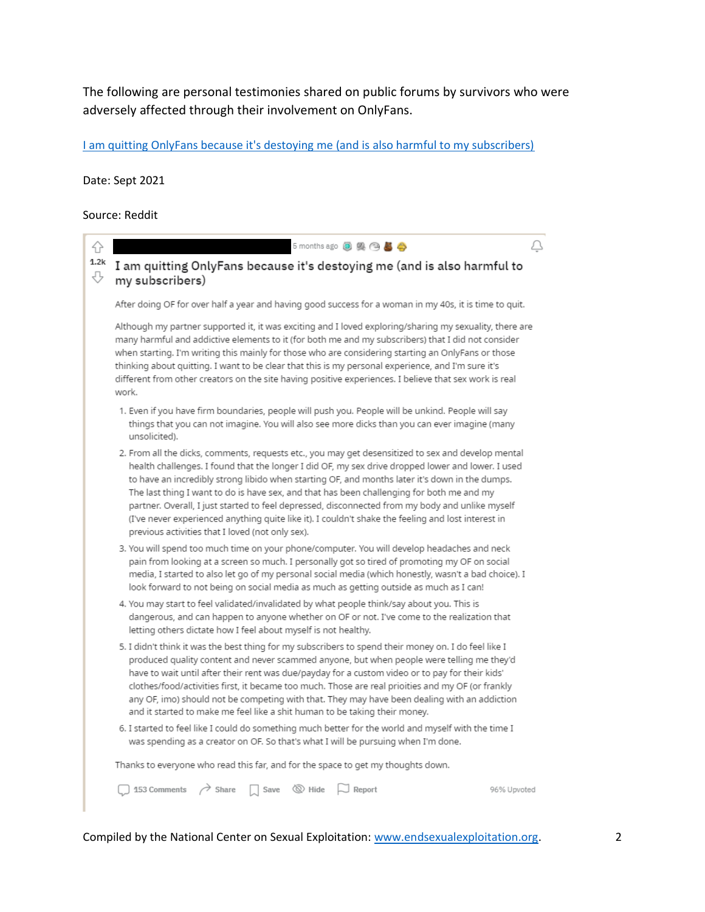The following are personal testimonies shared on public forums by survivors who were adversely affected through their involvement on OnlyFans.

[I am quitting OnlyFans because it's destoying me \(and is also harmful to my subscribers\)](https://www.reddit.com/r/offmychest/comments/pyx8tn/i_am_quitting_onlyfans_because_its_destoying_me/)

Date: Sept 2021

Source: Reddit

4 5 months ago B 奥 B A Δ  $1.2k$ I am quitting OnlyFans because it's destoying me (and is also harmful to ⇩ my subscribers) After doing OF for over half a year and having good success for a woman in my 40s, it is time to quit. Although my partner supported it, it was exciting and I loved exploring/sharing my sexuality, there are many harmful and addictive elements to it (for both me and my subscribers) that I did not consider when starting. I'm writing this mainly for those who are considering starting an OnlyFans or those thinking about guitting. I want to be clear that this is my personal experience, and I'm sure it's different from other creators on the site having positive experiences. I believe that sex work is real work. 1. Even if you have firm boundaries, people will push you. People will be unkind. People will say things that you can not imagine. You will also see more dicks than you can ever imagine (many unsolicited). 2. From all the dicks, comments, requests etc., you may get desensitized to sex and develop mental health challenges. I found that the longer I did OF, my sex drive dropped lower and lower. I used to have an incredibly strong libido when starting OF, and months later it's down in the dumps. The last thing I want to do is have sex, and that has been challenging for both me and my partner. Overall, I just started to feel depressed, disconnected from my body and unlike myself (I've never experienced anything quite like it). I couldn't shake the feeling and lost interest in previous activities that I loved (not only sex). 3. You will spend too much time on your phone/computer. You will develop headaches and neck pain from looking at a screen so much. I personally got so tired of promoting my OF on social media, I started to also let go of my personal social media (which honestly, wasn't a bad choice). I look forward to not being on social media as much as getting outside as much as I can! 4. You may start to feel validated/invalidated by what people think/say about you. This is dangerous, and can happen to anyone whether on OF or not. I've come to the realization that letting others dictate how I feel about myself is not healthy. 5. I didn't think it was the best thing for my subscribers to spend their money on. I do feel like I produced quality content and never scammed anyone, but when people were telling me they'd have to wait until after their rent was due/payday for a custom video or to pay for their kids' clothes/food/activities first, it became too much. Those are real prioities and my OF (or frankly any OF, imo) should not be competing with that. They may have been dealing with an addiction and it started to make me feel like a shit human to be taking their money. 6. I started to feel like I could do something much better for the world and myself with the time I was spending as a creator on OF. So that's what I will be pursuing when I'm done. Thanks to everyone who read this far, and for the space to get my thoughts down.  $\Box$  153 Comments  $\land$  Share  $\Box$  Save  $\otimes$  Hide  $\Box$  Report 96% Upvoted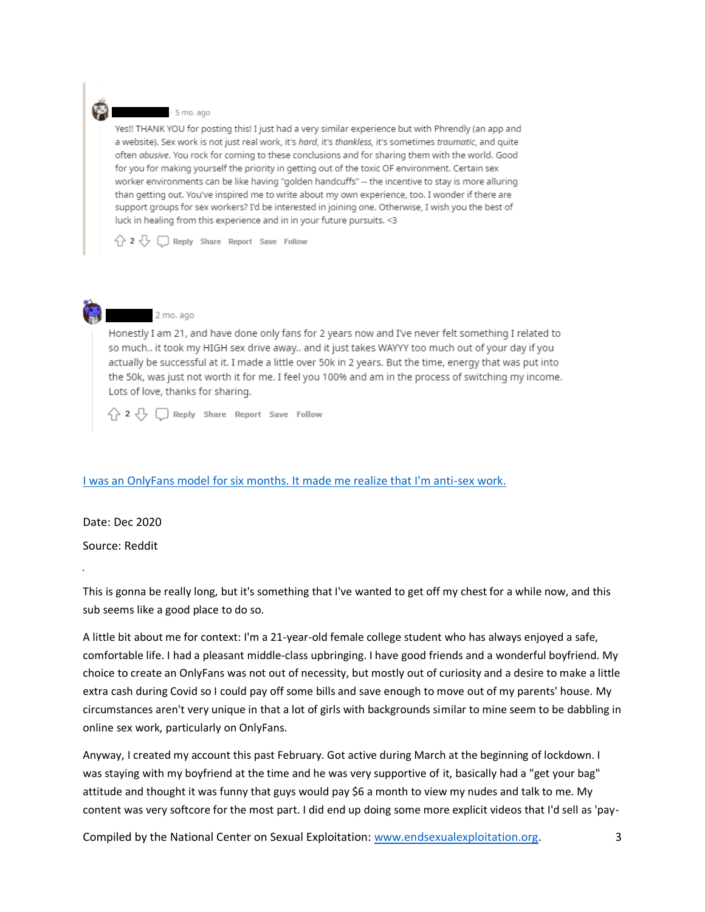#### - 5 mo. ago

Yes!! THANK YOU for posting this! I just had a very similar experience but with Phrendly (an app and a website). Sex work is not just real work, it's hard, it's thankless, it's sometimes traumatic, and quite often abusive. You rock for coming to these conclusions and for sharing them with the world. Good for you for making yourself the priority in getting out of the toxic OF environment. Certain sex worker environments can be like having "golden handcuffs" -- the incentive to stay is more alluring than getting out. You've inspired me to write about my own experience, too. I wonder if there are support groups for sex workers? I'd be interested in joining one. Otherwise, I wish you the best of luck in healing from this experience and in in your future pursuits. < 3

 $\bigcirc$  2  $\bigcirc$   $\bigcirc$  Reply Share Report Save Follow



### 2 mo. ago

Honestly I am 21, and have done only fans for 2 years now and I've never felt something I related to so much.. it took my HIGH sex drive away.. and it just takes WAYYY too much out of your day if you actually be successful at it. I made a little over 50k in 2 years. But the time, energy that was put into the 50k, was just not worth it for me. I feel you 100% and am in the process of switching my income. Lots of love, thanks for sharing.

 $\bigwedge$  2  $\bigcup$   $\bigcap$  Reply Share Report Save Follow

### [I was an OnlyFans model for six months. It made me realize that I'm anti-sex work.](https://www.reddit.com/r/PornHatesWomen/comments/k8v1eq/i_was_an_onlyfans_model_for_six_months_it_made_me/)

Date: Dec 2020

Source: Reddit

This is gonna be really long, but it's something that I've wanted to get off my chest for a while now, and this sub seems like a good place to do so.

A little bit about me for context: I'm a 21-year-old female college student who has always enjoyed a safe, comfortable life. I had a pleasant middle-class upbringing. I have good friends and a wonderful boyfriend. My choice to create an OnlyFans was not out of necessity, but mostly out of curiosity and a desire to make a little extra cash during Covid so I could pay off some bills and save enough to move out of my parents' house. My circumstances aren't very unique in that a lot of girls with backgrounds similar to mine seem to be dabbling in online sex work, particularly on OnlyFans.

Anyway, I created my account this past February. Got active during March at the beginning of lockdown. I was staying with my boyfriend at the time and he was very supportive of it, basically had a "get your bag" attitude and thought it was funny that guys would pay \$6 a month to view my nudes and talk to me. My content was very softcore for the most part. I did end up doing some more explicit videos that I'd sell as 'pay-

Compiled by the National Center on Sexual Exploitation: [www.endsexualexploitation.org.](http://www.endsexualexploitation.org/) 3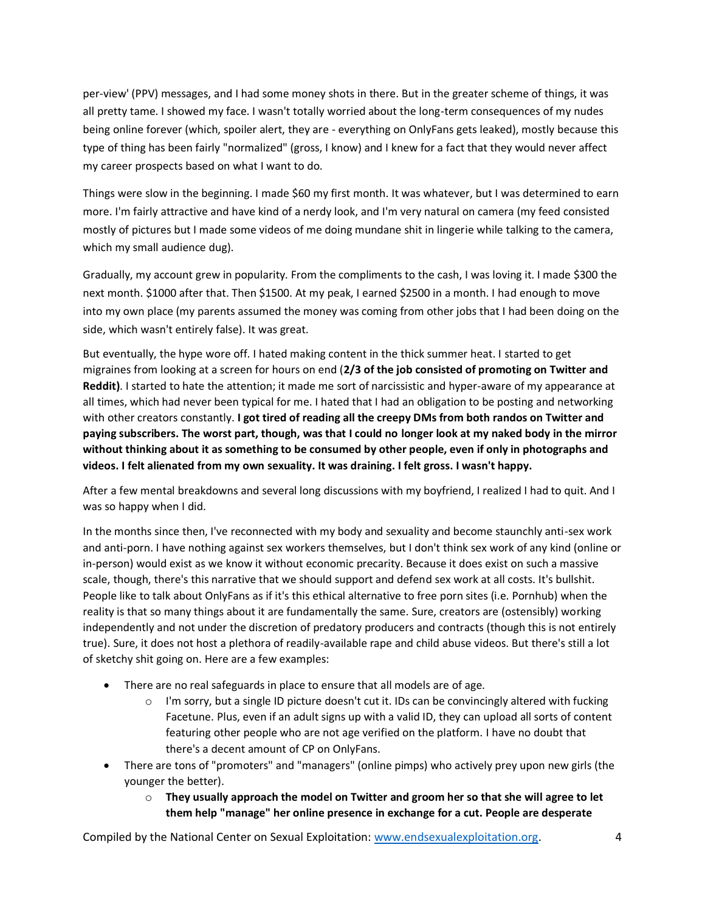per-view' (PPV) messages, and I had some money shots in there. But in the greater scheme of things, it was all pretty tame. I showed my face. I wasn't totally worried about the long-term consequences of my nudes being online forever (which, spoiler alert, they are - everything on OnlyFans gets leaked), mostly because this type of thing has been fairly "normalized" (gross, I know) and I knew for a fact that they would never affect my career prospects based on what I want to do.

Things were slow in the beginning. I made \$60 my first month. It was whatever, but I was determined to earn more. I'm fairly attractive and have kind of a nerdy look, and I'm very natural on camera (my feed consisted mostly of pictures but I made some videos of me doing mundane shit in lingerie while talking to the camera, which my small audience dug).

Gradually, my account grew in popularity. From the compliments to the cash, I was loving it. I made \$300 the next month. \$1000 after that. Then \$1500. At my peak, I earned \$2500 in a month. I had enough to move into my own place (my parents assumed the money was coming from other jobs that I had been doing on the side, which wasn't entirely false). It was great.

But eventually, the hype wore off. I hated making content in the thick summer heat. I started to get migraines from looking at a screen for hours on end (**2/3 of the job consisted of promoting on Twitter and Reddit)**. I started to hate the attention; it made me sort of narcissistic and hyper-aware of my appearance at all times, which had never been typical for me. I hated that I had an obligation to be posting and networking with other creators constantly. **I got tired of reading all the creepy DMs from both randos on Twitter and paying subscribers. The worst part, though, was that I could no longer look at my naked body in the mirror without thinking about it as something to be consumed by other people, even if only in photographs and videos. I felt alienated from my own sexuality. It was draining. I felt gross. I wasn't happy.**

After a few mental breakdowns and several long discussions with my boyfriend, I realized I had to quit. And I was so happy when I did.

In the months since then, I've reconnected with my body and sexuality and become staunchly anti-sex work and anti-porn. I have nothing against sex workers themselves, but I don't think sex work of any kind (online or in-person) would exist as we know it without economic precarity. Because it does exist on such a massive scale, though, there's this narrative that we should support and defend sex work at all costs. It's bullshit. People like to talk about OnlyFans as if it's this ethical alternative to free porn sites (i.e. Pornhub) when the reality is that so many things about it are fundamentally the same. Sure, creators are (ostensibly) working independently and not under the discretion of predatory producers and contracts (though this is not entirely true). Sure, it does not host a plethora of readily-available rape and child abuse videos. But there's still a lot of sketchy shit going on. Here are a few examples:

- There are no real safeguards in place to ensure that all models are of age.
	- $\circ$  I'm sorry, but a single ID picture doesn't cut it. IDs can be convincingly altered with fucking Facetune. Plus, even if an adult signs up with a valid ID, they can upload all sorts of content featuring other people who are not age verified on the platform. I have no doubt that there's a decent amount of CP on OnlyFans.
- There are tons of "promoters" and "managers" (online pimps) who actively prey upon new girls (the younger the better).
	- o **They usually approach the model on Twitter and groom her so that she will agree to let them help "manage" her online presence in exchange for a cut. People are desperate**

Compiled by the National Center on Sexual Exploitation: [www.endsexualexploitation.org.](http://www.endsexualexploitation.org/) 4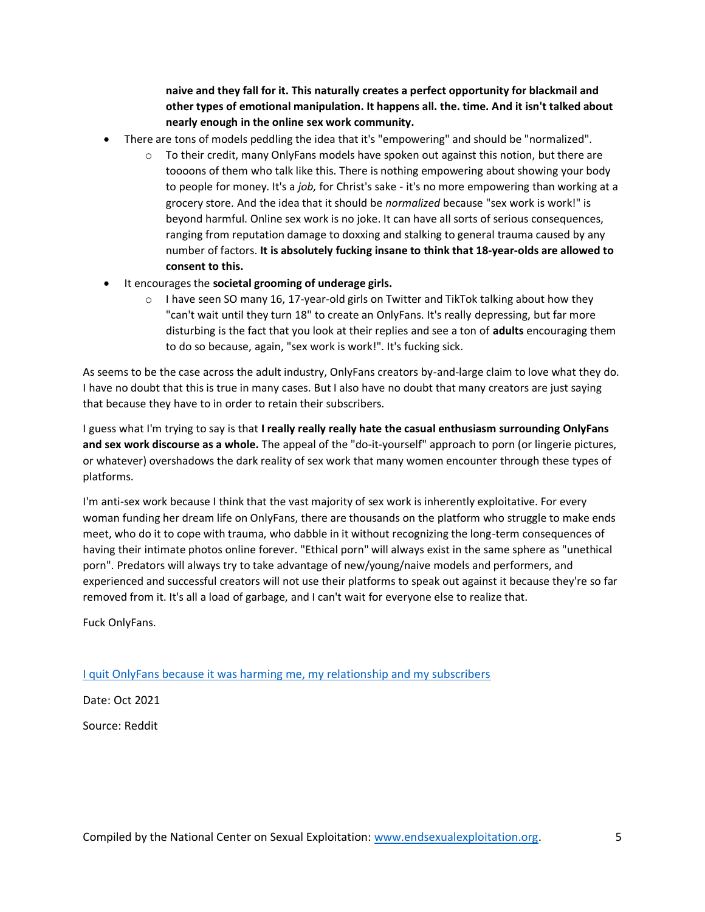**naive and they fall for it. This naturally creates a perfect opportunity for blackmail and other types of emotional manipulation. It happens all. the. time. And it isn't talked about nearly enough in the online sex work community.**

- There are tons of models peddling the idea that it's "empowering" and should be "normalized".
	- $\circ$  To their credit, many OnlyFans models have spoken out against this notion, but there are toooons of them who talk like this. There is nothing empowering about showing your body to people for money. It's a *job,* for Christ's sake - it's no more empowering than working at a grocery store. And the idea that it should be *normalized* because "sex work is work!" is beyond harmful. Online sex work is no joke. It can have all sorts of serious consequences, ranging from reputation damage to doxxing and stalking to general trauma caused by any number of factors. **It is absolutely fucking insane to think that 18-year-olds are allowed to consent to this.**
- It encourages the **societal grooming of underage girls.**
	- $\circ$  I have seen SO many 16, 17-year-old girls on Twitter and TikTok talking about how they "can't wait until they turn 18" to create an OnlyFans. It's really depressing, but far more disturbing is the fact that you look at their replies and see a ton of **adults** encouraging them to do so because, again, "sex work is work!". It's fucking sick.

As seems to be the case across the adult industry, OnlyFans creators by-and-large claim to love what they do. I have no doubt that this is true in many cases. But I also have no doubt that many creators are just saying that because they have to in order to retain their subscribers.

I guess what I'm trying to say is that **I really really really hate the casual enthusiasm surrounding OnlyFans and sex work discourse as a whole.** The appeal of the "do-it-yourself" approach to porn (or lingerie pictures, or whatever) overshadows the dark reality of sex work that many women encounter through these types of platforms.

I'm anti-sex work because I think that the vast majority of sex work is inherently exploitative. For every woman funding her dream life on OnlyFans, there are thousands on the platform who struggle to make ends meet, who do it to cope with trauma, who dabble in it without recognizing the long-term consequences of having their intimate photos online forever. "Ethical porn" will always exist in the same sphere as "unethical porn". Predators will always try to take advantage of new/young/naive models and performers, and experienced and successful creators will not use their platforms to speak out against it because they're so far removed from it. It's all a load of garbage, and I can't wait for everyone else to realize that.

Fuck OnlyFans.

[I quit OnlyFans because it was harming me, my relationship and my subscribers](https://www.reddit.com/r/DecidingToBeBetter/comments/q1z4zo/i_quit_onlyfans_because_it_was_harming_me_my/)

Date: Oct 2021

Source: Reddit